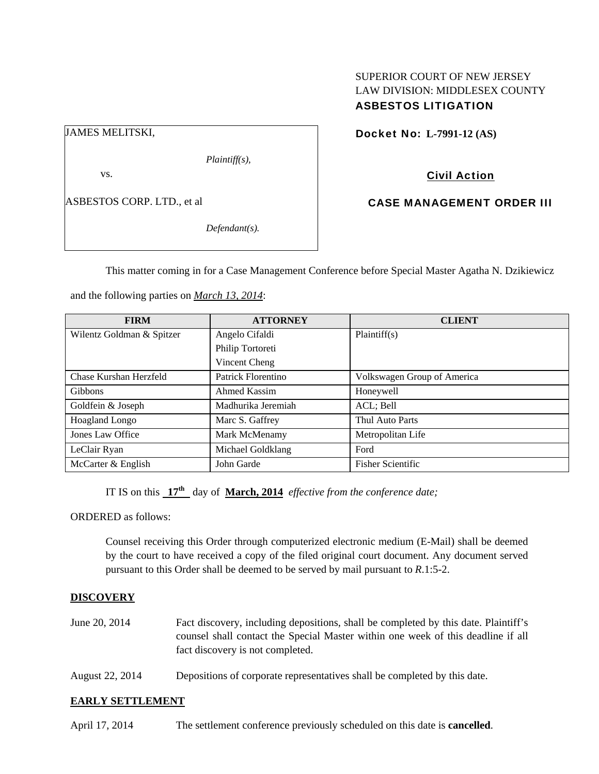# SUPERIOR COURT OF NEW JERSEY LAW DIVISION: MIDDLESEX COUNTY ASBESTOS LITIGATION

JAMES MELITSKI,

*Plaintiff(s),* 

vs.

ASBESTOS CORP. LTD., et al

*Defendant(s).* 

Docket No: **L-7991-12 (AS)** 

# Civil Action

CASE MANAGEMENT ORDER III

This matter coming in for a Case Management Conference before Special Master Agatha N. Dzikiewicz

and the following parties on *March 13, 2014*:

| <b>FIRM</b>               | <b>ATTORNEY</b>    | <b>CLIENT</b>               |
|---------------------------|--------------------|-----------------------------|
| Wilentz Goldman & Spitzer | Angelo Cifaldi     | Plaintiff(s)                |
|                           | Philip Tortoreti   |                             |
|                           | Vincent Cheng      |                             |
| Chase Kurshan Herzfeld    | Patrick Florentino | Volkswagen Group of America |
| <b>Gibbons</b>            | Ahmed Kassim       | Honeywell                   |
| Goldfein & Joseph         | Madhurika Jeremiah | ACL; Bell                   |
| Hoagland Longo            | Marc S. Gaffrey    | Thul Auto Parts             |
| Jones Law Office          | Mark McMenamy      | Metropolitan Life           |
| LeClair Ryan              | Michael Goldklang  | Ford                        |
| McCarter & English        | John Garde         | <b>Fisher Scientific</b>    |

IT IS on this **17th** day of **March, 2014** *effective from the conference date;*

ORDERED as follows:

Counsel receiving this Order through computerized electronic medium (E-Mail) shall be deemed by the court to have received a copy of the filed original court document. Any document served pursuant to this Order shall be deemed to be served by mail pursuant to *R*.1:5-2.

## **DISCOVERY**

- June 20, 2014 Fact discovery, including depositions, shall be completed by this date. Plaintiff's counsel shall contact the Special Master within one week of this deadline if all fact discovery is not completed.
- August 22, 2014 Depositions of corporate representatives shall be completed by this date.

## **EARLY SETTLEMENT**

April 17, 2014 The settlement conference previously scheduled on this date is **cancelled**.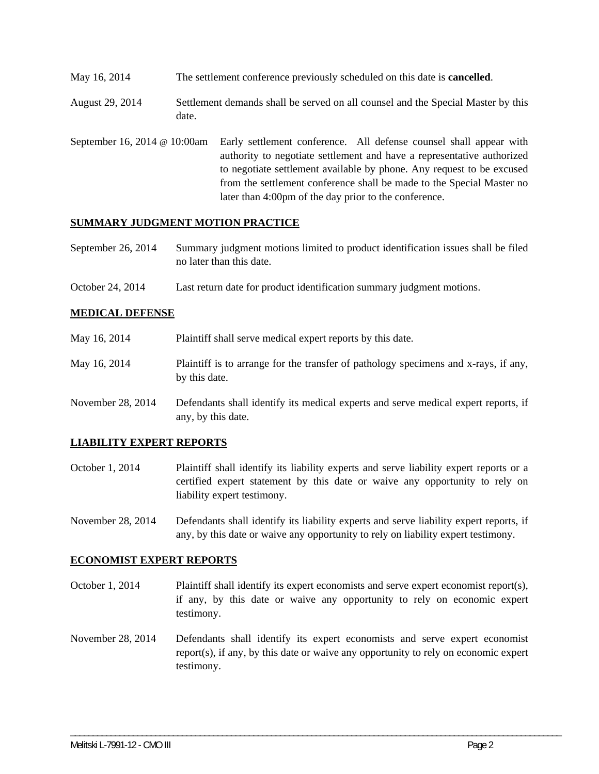May 16, 2014 The settlement conference previously scheduled on this date is **cancelled**.

August 29, 2014 Settlement demands shall be served on all counsel and the Special Master by this date.

September 16, 2014 @ 10:00am Early settlement conference. All defense counsel shall appear with authority to negotiate settlement and have a representative authorized to negotiate settlement available by phone. Any request to be excused from the settlement conference shall be made to the Special Master no later than 4:00pm of the day prior to the conference.

### **SUMMARY JUDGMENT MOTION PRACTICE**

- September 26, 2014 Summary judgment motions limited to product identification issues shall be filed no later than this date.
- October 24, 2014 Last return date for product identification summary judgment motions.

### **MEDICAL DEFENSE**

| May 16, 2014      | Plaintiff shall serve medical expert reports by this date.                                               |  |
|-------------------|----------------------------------------------------------------------------------------------------------|--|
| May 16, 2014      | Plaintiff is to arrange for the transfer of pathology specimens and x-rays, if any,<br>by this date.     |  |
| November 28, 2014 | Defendants shall identify its medical experts and serve medical expert reports, if<br>any, by this date. |  |

#### **LIABILITY EXPERT REPORTS**

October 1, 2014 Plaintiff shall identify its liability experts and serve liability expert reports or a certified expert statement by this date or waive any opportunity to rely on liability expert testimony.

November 28, 2014 Defendants shall identify its liability experts and serve liability expert reports, if any, by this date or waive any opportunity to rely on liability expert testimony.

### **ECONOMIST EXPERT REPORTS**

- October 1, 2014 Plaintiff shall identify its expert economists and serve expert economist report(s), if any, by this date or waive any opportunity to rely on economic expert testimony.
- November 28, 2014 Defendants shall identify its expert economists and serve expert economist report(s), if any, by this date or waive any opportunity to rely on economic expert testimony.

\_\_\_\_\_\_\_\_\_\_\_\_\_\_\_\_\_\_\_\_\_\_\_\_\_\_\_\_\_\_\_\_\_\_\_\_\_\_\_\_\_\_\_\_\_\_\_\_\_\_\_\_\_\_\_\_\_\_\_\_\_\_\_\_\_\_\_\_\_\_\_\_\_\_\_\_\_\_\_\_\_\_\_\_\_\_\_\_\_\_\_\_\_\_\_\_\_\_\_\_\_\_\_\_\_\_\_\_\_\_